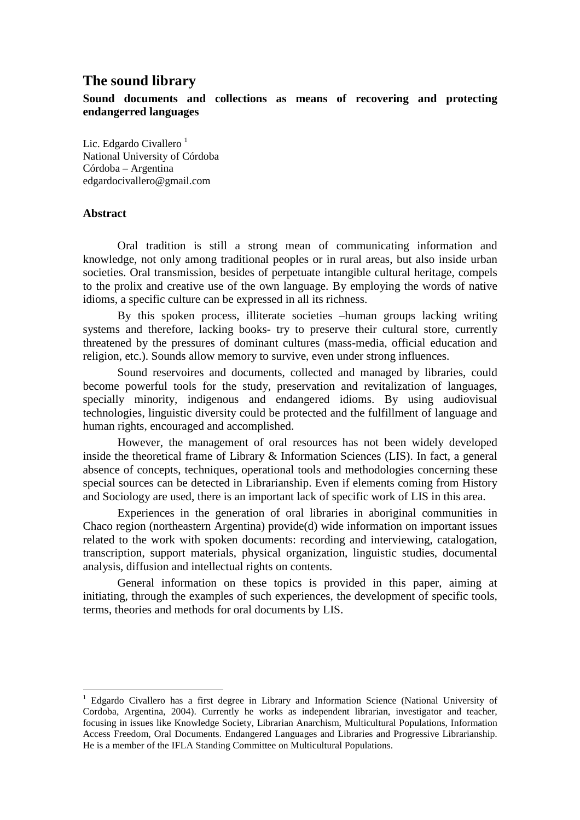# **The sound library**

**Sound documents and collections as means of recovering and protecting endangerred languages** 

Lic. Edgardo Civallero $<sup>1</sup>$ </sup> National University of Córdoba Córdoba – Argentina edgardocivallero@gmail.com

## **Abstract**

 $\overline{a}$ 

Oral tradition is still a strong mean of communicating information and knowledge, not only among traditional peoples or in rural areas, but also inside urban societies. Oral transmission, besides of perpetuate intangible cultural heritage, compels to the prolix and creative use of the own language. By employing the words of native idioms, a specific culture can be expressed in all its richness.

By this spoken process, illiterate societies –human groups lacking writing systems and therefore, lacking books- try to preserve their cultural store, currently threatened by the pressures of dominant cultures (mass-media, official education and religion, etc.). Sounds allow memory to survive, even under strong influences.

Sound reservoires and documents, collected and managed by libraries, could become powerful tools for the study, preservation and revitalization of languages, specially minority, indigenous and endangered idioms. By using audiovisual technologies, linguistic diversity could be protected and the fulfillment of language and human rights, encouraged and accomplished.

However, the management of oral resources has not been widely developed inside the theoretical frame of Library & Information Sciences (LIS). In fact, a general absence of concepts, techniques, operational tools and methodologies concerning these special sources can be detected in Librarianship. Even if elements coming from History and Sociology are used, there is an important lack of specific work of LIS in this area.

Experiences in the generation of oral libraries in aboriginal communities in Chaco region (northeastern Argentina) provide(d) wide information on important issues related to the work with spoken documents: recording and interviewing, catalogation, transcription, support materials, physical organization, linguistic studies, documental analysis, diffusion and intellectual rights on contents.

General information on these topics is provided in this paper, aiming at initiating, through the examples of such experiences, the development of specific tools, terms, theories and methods for oral documents by LIS.

<sup>&</sup>lt;sup>1</sup> Edgardo Civallero has a first degree in Library and Information Science (National University of Cordoba, Argentina, 2004). Currently he works as independent librarian, investigator and teacher, focusing in issues like Knowledge Society, Librarian Anarchism, Multicultural Populations, Information Access Freedom, Oral Documents. Endangered Languages and Libraries and Progressive Librarianship. He is a member of the IFLA Standing Committee on Multicultural Populations.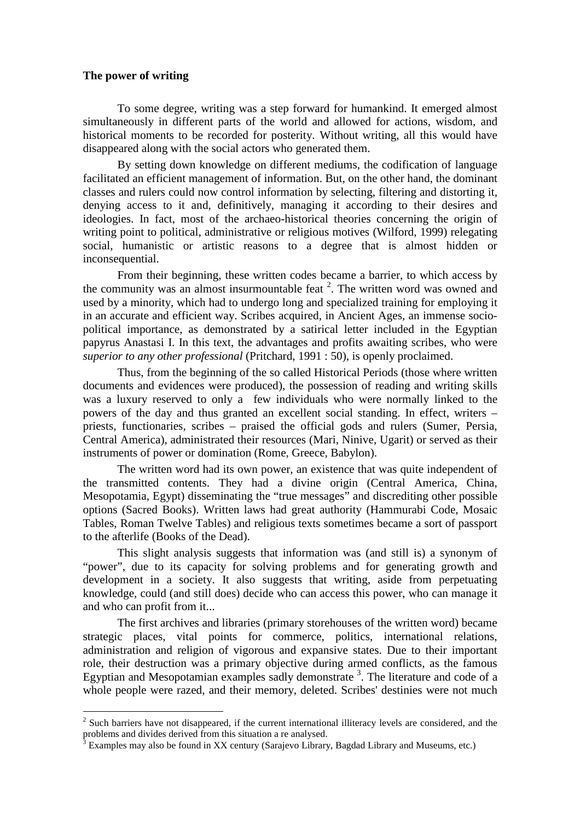#### **The power of writing**

 $\overline{a}$ 

To some degree, writing was a step forward for humankind. It emerged almost simultaneously in different parts of the world and allowed for actions, wisdom, and historical moments to be recorded for posterity. Without writing, all this would have disappeared along with the social actors who generated them.

By setting down knowledge on different mediums, the codification of language facilitated an efficient management of information. But, on the other hand, the dominant classes and rulers could now control information by selecting, filtering and distorting it, denying access to it and, definitively, managing it according to their desires and ideologies. In fact, most of the archaeo-historical theories concerning the origin of writing point to political, administrative or religious motives (Wilford, 1999) relegating social, humanistic or artistic reasons to a degree that is almost hidden or inconsequential.

From their beginning, these written codes became a barrier, to which access by the community was an almost insurmountable feat  $2$ . The written word was owned and used by a minority, which had to undergo long and specialized training for employing it in an accurate and efficient way. Scribes acquired, in Ancient Ages, an immense sociopolitical importance, as demonstrated by a satirical letter included in the Egyptian papyrus Anastasi I. In this text, the advantages and profits awaiting scribes, who were *superior to any other professional* (Pritchard, 1991 : 50), is openly proclaimed.

Thus, from the beginning of the so called Historical Periods (those where written documents and evidences were produced), the possession of reading and writing skills was a luxury reserved to only a few individuals who were normally linked to the powers of the day and thus granted an excellent social standing. In effect, writers – priests, functionaries, scribes – praised the official gods and rulers (Sumer, Persia, Central America), administrated their resources (Mari, Ninive, Ugarit) or served as their instruments of power or domination (Rome, Greece, Babylon).

The written word had its own power, an existence that was quite independent of the transmitted contents. They had a divine origin (Central America, China, Mesopotamia, Egypt) disseminating the "true messages" and discrediting other possible options (Sacred Books). Written laws had great authority (Hammurabi Code, Mosaic Tables, Roman Twelve Tables) and religious texts sometimes became a sort of passport to the afterlife (Books of the Dead).

This slight analysis suggests that information was (and still is) a synonym of "power", due to its capacity for solving problems and for generating growth and development in a society. It also suggests that writing, aside from perpetuating knowledge, could (and still does) decide who can access this power, who can manage it and who can profit from it...

The first archives and libraries (primary storehouses of the written word) became strategic places, vital points for commerce, politics, international relations, administration and religion of vigorous and expansive states. Due to their important role, their destruction was a primary objective during armed conflicts, as the famous Egyptian and Mesopotamian examples sadly demonstrate  $3$ . The literature and code of a whole people were razed, and their memory, deleted. Scribes' destinies were not much

<sup>&</sup>lt;sup>2</sup> Such barriers have not disappeared, if the current international illiteracy levels are considered, and the problems and divides derived from this situation a re analysed.

 $3$  Examples may also be found in XX century (Sarajevo Library, Bagdad Library and Museums, etc.)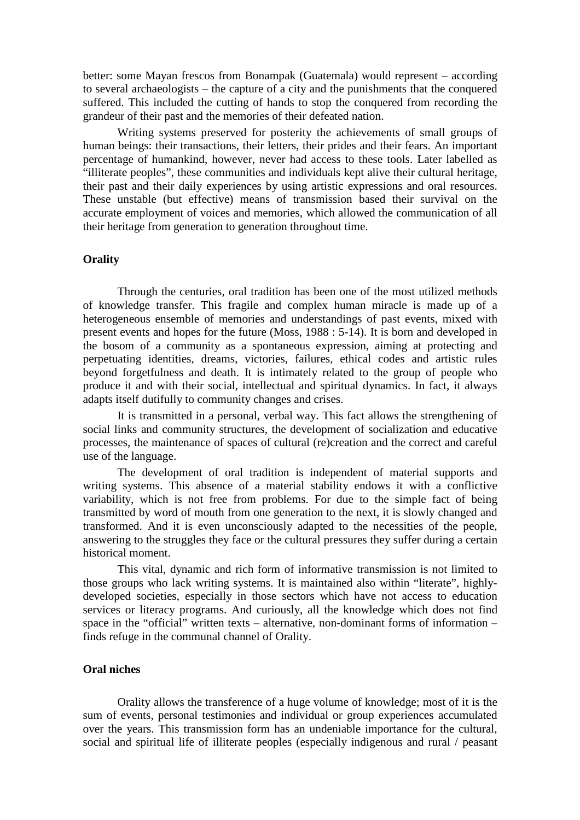better: some Mayan frescos from Bonampak (Guatemala) would represent – according to several archaeologists – the capture of a city and the punishments that the conquered suffered. This included the cutting of hands to stop the conquered from recording the grandeur of their past and the memories of their defeated nation.

Writing systems preserved for posterity the achievements of small groups of human beings: their transactions, their letters, their prides and their fears. An important percentage of humankind, however, never had access to these tools. Later labelled as "illiterate peoples", these communities and individuals kept alive their cultural heritage, their past and their daily experiences by using artistic expressions and oral resources. These unstable (but effective) means of transmission based their survival on the accurate employment of voices and memories, which allowed the communication of all their heritage from generation to generation throughout time.

# **Orality**

Through the centuries, oral tradition has been one of the most utilized methods of knowledge transfer. This fragile and complex human miracle is made up of a heterogeneous ensemble of memories and understandings of past events, mixed with present events and hopes for the future (Moss, 1988 : 5-14). It is born and developed in the bosom of a community as a spontaneous expression, aiming at protecting and perpetuating identities, dreams, victories, failures, ethical codes and artistic rules beyond forgetfulness and death. It is intimately related to the group of people who produce it and with their social, intellectual and spiritual dynamics. In fact, it always adapts itself dutifully to community changes and crises.

It is transmitted in a personal, verbal way. This fact allows the strengthening of social links and community structures, the development of socialization and educative processes, the maintenance of spaces of cultural (re)creation and the correct and careful use of the language.

The development of oral tradition is independent of material supports and writing systems. This absence of a material stability endows it with a conflictive variability, which is not free from problems. For due to the simple fact of being transmitted by word of mouth from one generation to the next, it is slowly changed and transformed. And it is even unconsciously adapted to the necessities of the people, answering to the struggles they face or the cultural pressures they suffer during a certain historical moment.

This vital, dynamic and rich form of informative transmission is not limited to those groups who lack writing systems. It is maintained also within "literate", highlydeveloped societies, especially in those sectors which have not access to education services or literacy programs. And curiously, all the knowledge which does not find space in the "official" written texts – alternative, non-dominant forms of information – finds refuge in the communal channel of Orality.

# **Oral niches**

Orality allows the transference of a huge volume of knowledge; most of it is the sum of events, personal testimonies and individual or group experiences accumulated over the years. This transmission form has an undeniable importance for the cultural, social and spiritual life of illiterate peoples (especially indigenous and rural / peasant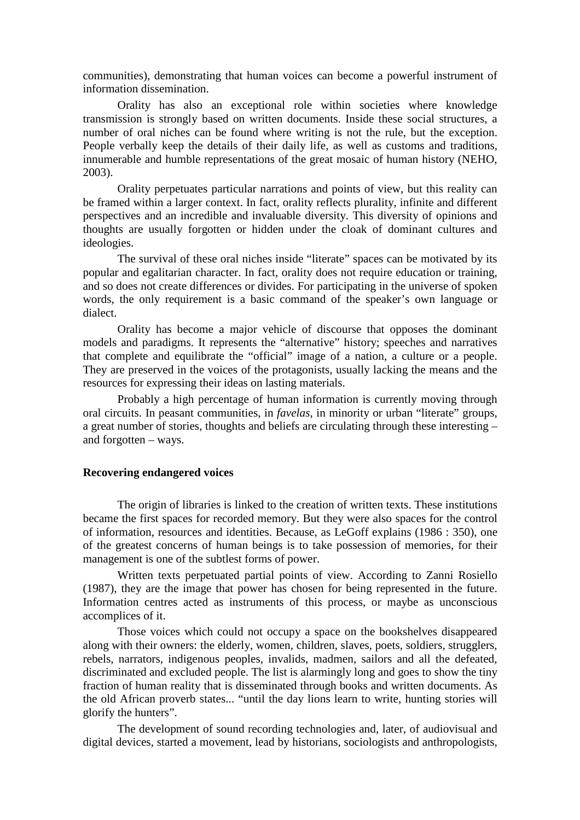communities), demonstrating that human voices can become a powerful instrument of information dissemination.

Orality has also an exceptional role within societies where knowledge transmission is strongly based on written documents. Inside these social structures, a number of oral niches can be found where writing is not the rule, but the exception. People verbally keep the details of their daily life, as well as customs and traditions, innumerable and humble representations of the great mosaic of human history (NEHO, 2003).

Orality perpetuates particular narrations and points of view, but this reality can be framed within a larger context. In fact, orality reflects plurality, infinite and different perspectives and an incredible and invaluable diversity. This diversity of opinions and thoughts are usually forgotten or hidden under the cloak of dominant cultures and ideologies.

The survival of these oral niches inside "literate" spaces can be motivated by its popular and egalitarian character. In fact, orality does not require education or training, and so does not create differences or divides. For participating in the universe of spoken words, the only requirement is a basic command of the speaker's own language or dialect.

Orality has become a major vehicle of discourse that opposes the dominant models and paradigms. It represents the "alternative" history; speeches and narratives that complete and equilibrate the "official" image of a nation, a culture or a people. They are preserved in the voices of the protagonists, usually lacking the means and the resources for expressing their ideas on lasting materials.

Probably a high percentage of human information is currently moving through oral circuits. In peasant communities, in *favelas*, in minority or urban "literate" groups, a great number of stories, thoughts and beliefs are circulating through these interesting – and forgotten – ways.

#### **Recovering endangered voices**

The origin of libraries is linked to the creation of written texts. These institutions became the first spaces for recorded memory. But they were also spaces for the control of information, resources and identities. Because, as LeGoff explains (1986 : 350), one of the greatest concerns of human beings is to take possession of memories, for their management is one of the subtlest forms of power.

Written texts perpetuated partial points of view. According to Zanni Rosiello (1987), they are the image that power has chosen for being represented in the future. Information centres acted as instruments of this process, or maybe as unconscious accomplices of it.

Those voices which could not occupy a space on the bookshelves disappeared along with their owners: the elderly, women, children, slaves, poets, soldiers, strugglers, rebels, narrators, indigenous peoples, invalids, madmen, sailors and all the defeated, discriminated and excluded people. The list is alarmingly long and goes to show the tiny fraction of human reality that is disseminated through books and written documents. As the old African proverb states... "until the day lions learn to write, hunting stories will glorify the hunters".

The development of sound recording technologies and, later, of audiovisual and digital devices, started a movement, lead by historians, sociologists and anthropologists,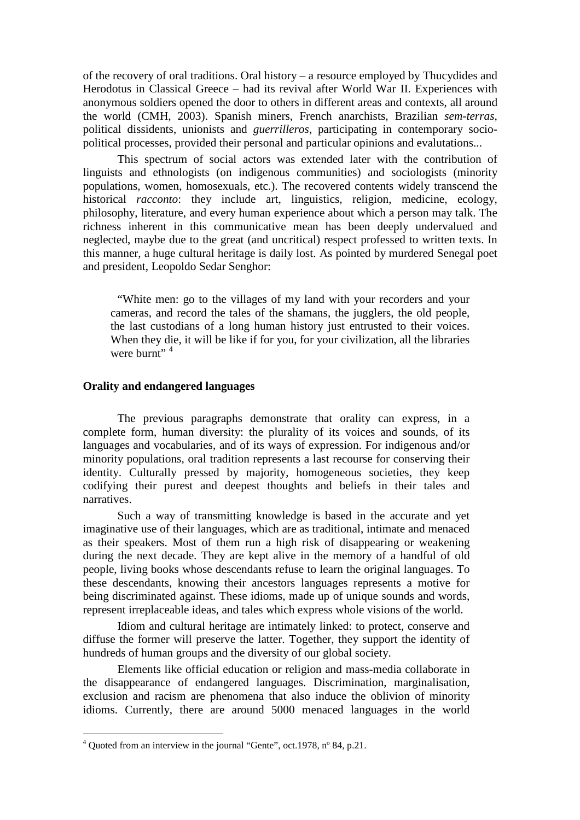of the recovery of oral traditions. Oral history – a resource employed by Thucydides and Herodotus in Classical Greece – had its revival after World War II. Experiences with anonymous soldiers opened the door to others in different areas and contexts, all around the world (CMH, 2003). Spanish miners, French anarchists, Brazilian *sem-terras*, political dissidents, unionists and *guerrilleros*, participating in contemporary sociopolitical processes, provided their personal and particular opinions and evalutations...

This spectrum of social actors was extended later with the contribution of linguists and ethnologists (on indigenous communities) and sociologists (minority populations, women, homosexuals, etc.). The recovered contents widely transcend the historical *racconto*: they include art, linguistics, religion, medicine, ecology, philosophy, literature, and every human experience about which a person may talk. The richness inherent in this communicative mean has been deeply undervalued and neglected, maybe due to the great (and uncritical) respect professed to written texts. In this manner, a huge cultural heritage is daily lost. As pointed by murdered Senegal poet and president, Leopoldo Sedar Senghor:

"White men: go to the villages of my land with your recorders and your cameras, and record the tales of the shamans, the jugglers, the old people, the last custodians of a long human history just entrusted to their voices. When they die, it will be like if for you, for your civilization, all the libraries were burnt"  $4$ 

# **Orality and endangered languages**

The previous paragraphs demonstrate that orality can express, in a complete form, human diversity: the plurality of its voices and sounds, of its languages and vocabularies, and of its ways of expression. For indigenous and/or minority populations, oral tradition represents a last recourse for conserving their identity. Culturally pressed by majority, homogeneous societies, they keep codifying their purest and deepest thoughts and beliefs in their tales and narratives.

Such a way of transmitting knowledge is based in the accurate and yet imaginative use of their languages, which are as traditional, intimate and menaced as their speakers. Most of them run a high risk of disappearing or weakening during the next decade. They are kept alive in the memory of a handful of old people, living books whose descendants refuse to learn the original languages. To these descendants, knowing their ancestors languages represents a motive for being discriminated against. These idioms, made up of unique sounds and words, represent irreplaceable ideas, and tales which express whole visions of the world.

Idiom and cultural heritage are intimately linked: to protect, conserve and diffuse the former will preserve the latter. Together, they support the identity of hundreds of human groups and the diversity of our global society.

Elements like official education or religion and mass-media collaborate in the disappearance of endangered languages. Discrimination, marginalisation, exclusion and racism are phenomena that also induce the oblivion of minority idioms. Currently, there are around 5000 menaced languages in the world

 4 Quoted from an interview in the journal "Gente", oct.1978, nº 84, p.21.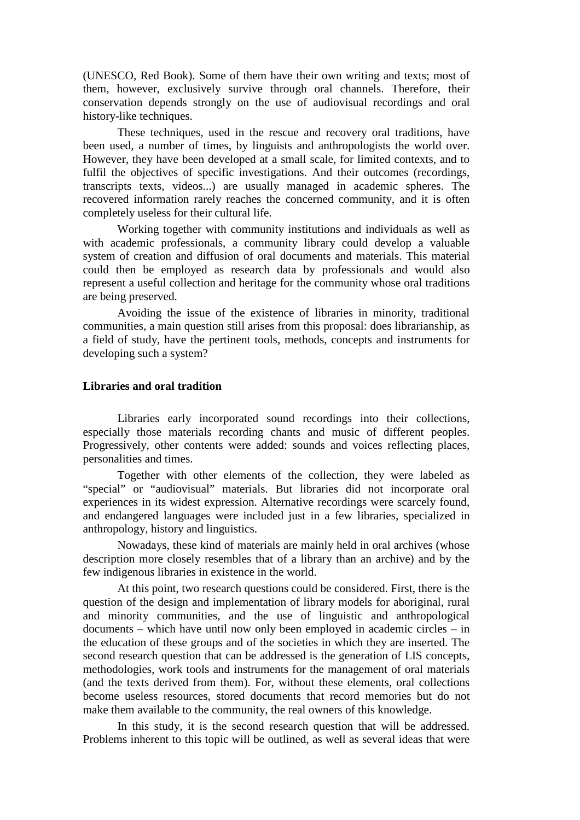(UNESCO, Red Book). Some of them have their own writing and texts; most of them, however, exclusively survive through oral channels. Therefore, their conservation depends strongly on the use of audiovisual recordings and oral history-like techniques.

These techniques, used in the rescue and recovery oral traditions, have been used, a number of times, by linguists and anthropologists the world over. However, they have been developed at a small scale, for limited contexts, and to fulfil the objectives of specific investigations. And their outcomes (recordings, transcripts texts, videos...) are usually managed in academic spheres. The recovered information rarely reaches the concerned community, and it is often completely useless for their cultural life.

Working together with community institutions and individuals as well as with academic professionals, a community library could develop a valuable system of creation and diffusion of oral documents and materials. This material could then be employed as research data by professionals and would also represent a useful collection and heritage for the community whose oral traditions are being preserved.

Avoiding the issue of the existence of libraries in minority, traditional communities, a main question still arises from this proposal: does librarianship, as a field of study, have the pertinent tools, methods, concepts and instruments for developing such a system?

#### **Libraries and oral tradition**

Libraries early incorporated sound recordings into their collections, especially those materials recording chants and music of different peoples. Progressively, other contents were added: sounds and voices reflecting places, personalities and times.

Together with other elements of the collection, they were labeled as "special" or "audiovisual" materials. But libraries did not incorporate oral experiences in its widest expression. Alternative recordings were scarcely found, and endangered languages were included just in a few libraries, specialized in anthropology, history and linguistics.

Nowadays, these kind of materials are mainly held in oral archives (whose description more closely resembles that of a library than an archive) and by the few indigenous libraries in existence in the world.

At this point, two research questions could be considered. First, there is the question of the design and implementation of library models for aboriginal, rural and minority communities, and the use of linguistic and anthropological documents – which have until now only been employed in academic circles – in the education of these groups and of the societies in which they are inserted. The second research question that can be addressed is the generation of LIS concepts, methodologies, work tools and instruments for the management of oral materials (and the texts derived from them). For, without these elements, oral collections become useless resources, stored documents that record memories but do not make them available to the community, the real owners of this knowledge.

In this study, it is the second research question that will be addressed. Problems inherent to this topic will be outlined, as well as several ideas that were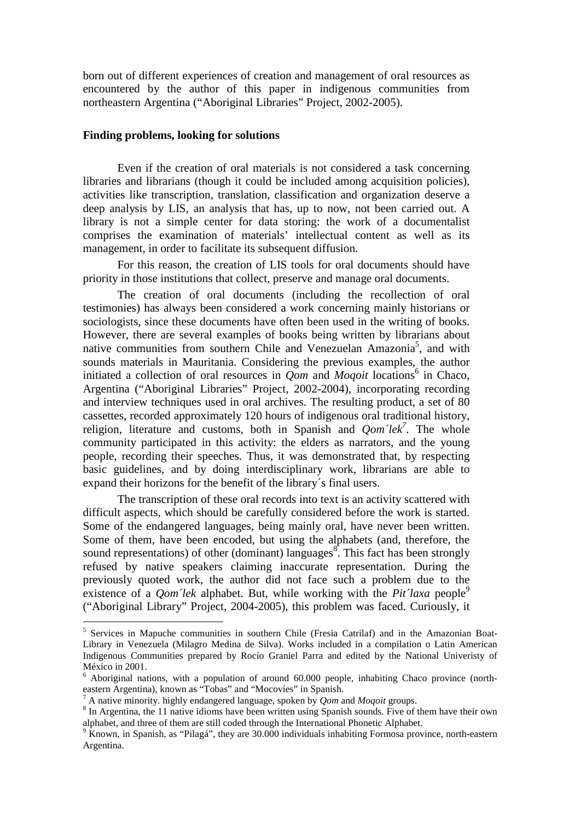born out of different experiences of creation and management of oral resources as encountered by the author of this paper in indigenous communities from northeastern Argentina ("Aboriginal Libraries" Project, 2002-2005).

# **Finding problems, looking for solutions**

Even if the creation of oral materials is not considered a task concerning libraries and librarians (though it could be included among acquisition policies), activities like transcription, translation, classification and organization deserve a deep analysis by LIS, an analysis that has, up to now, not been carried out. A library is not a simple center for data storing: the work of a documentalist comprises the examination of materials' intellectual content as well as its management, in order to facilitate its subsequent diffusion.

For this reason, the creation of LIS tools for oral documents should have priority in those institutions that collect, preserve and manage oral documents.

The creation of oral documents (including the recollection of oral testimonies) has always been considered a work concerning mainly historians or sociologists, since these documents have often been used in the writing of books. However, there are several examples of books being written by librarians about native communities from southern Chile and Venezuelan Amazonia<sup>5</sup>, and with sounds materials in Mauritania. Considering the previous examples, the author initiated a collection of oral resources in  $Qom$  and *Moqoit* locations<sup>6</sup> in Chaco, Argentina ("Aboriginal Libraries" Project, 2002-2004), incorporating recording and interview techniques used in oral archives. The resulting product, a set of 80 cassettes, recorded approximately 120 hours of indigenous oral traditional history, religion, literature and customs, both in Spanish and  $Qom$ <sup>7</sup>lek<sup>7</sup>. The whole community participated in this activity: the elders as narrators, and the young people, recording their speeches. Thus, it was demonstrated that, by respecting basic guidelines, and by doing interdisciplinary work, librarians are able to expand their horizons for the benefit of the library´s final users.

The transcription of these oral records into text is an activity scattered with difficult aspects, which should be carefully considered before the work is started. Some of the endangered languages, being mainly oral, have never been written. Some of them, have been encoded, but using the alphabets (and, therefore, the sound representations) of other (dominant) languages<sup>8</sup>. This fact has been strongly refused by native speakers claiming inaccurate representation. During the previously quoted work, the author did not face such a problem due to the existence of a *Oom'lek* alphabet. But, while working with the *Pit'laxa* people<sup>9</sup> ("Aboriginal Library" Project, 2004-2005), this problem was faced. Curiously, it

 $\overline{a}$ 

<sup>&</sup>lt;sup>5</sup> Services in Mapuche communities in southern Chile (Fresia Catrilaf) and in the Amazonian Boat-Library in Venezuela (Milagro Medina de Silva). Works included in a compilation o Latin American Indigenous Communities prepared by Rocío Graniel Parra and edited by the National Univeristy of México in 2001.

<sup>&</sup>lt;sup>6</sup> Aboriginal nations, with a population of around 60.000 people, inhabiting Chaco province (northeastern Argentina), known as "Tobas" and "Mocovíes" in Spanish.

<sup>7</sup> A native minority. highly endangered language, spoken by *Qom* and *Moqoit* groups.

<sup>&</sup>lt;sup>8</sup> In Argentina, the 11 native idioms have been written using Spanish sounds. Five of them have their own alphabet, and three of them are still coded through the International Phonetic Alphabet.

 $9 \text{ K}$ nown, in Spanish, as "Pilagá", they are 30.000 individuals inhabiting Formosa province, north-eastern Argentina.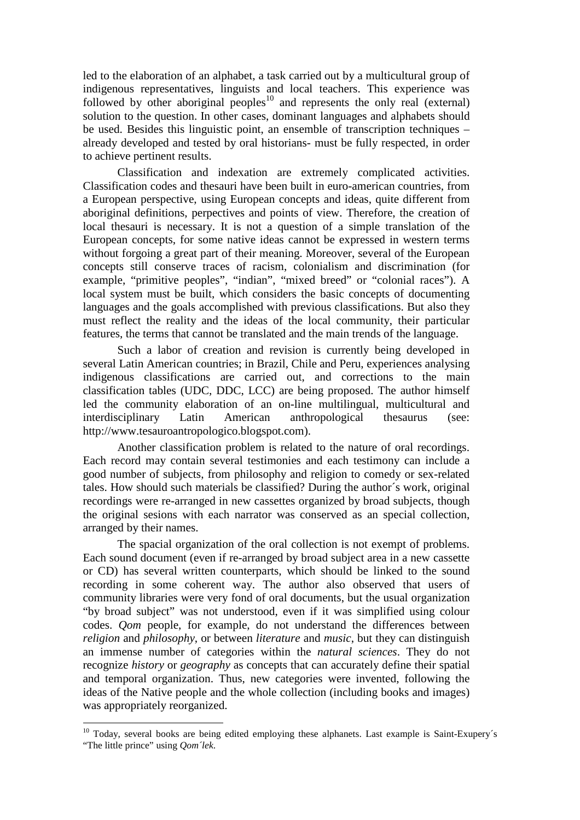led to the elaboration of an alphabet, a task carried out by a multicultural group of indigenous representatives, linguists and local teachers. This experience was followed by other aboriginal peoples<sup>10</sup> and represents the only real (external) solution to the question. In other cases, dominant languages and alphabets should be used. Besides this linguistic point, an ensemble of transcription techniques – already developed and tested by oral historians- must be fully respected, in order to achieve pertinent results.

Classification and indexation are extremely complicated activities. Classification codes and thesauri have been built in euro-american countries, from a European perspective, using European concepts and ideas, quite different from aboriginal definitions, perpectives and points of view. Therefore, the creation of local thesauri is necessary. It is not a question of a simple translation of the European concepts, for some native ideas cannot be expressed in western terms without forgoing a great part of their meaning. Moreover, several of the European concepts still conserve traces of racism, colonialism and discrimination (for example, "primitive peoples", "indian", "mixed breed" or "colonial races"). A local system must be built, which considers the basic concepts of documenting languages and the goals accomplished with previous classifications. But also they must reflect the reality and the ideas of the local community, their particular features, the terms that cannot be translated and the main trends of the language.

Such a labor of creation and revision is currently being developed in several Latin American countries; in Brazil, Chile and Peru, experiences analysing indigenous classifications are carried out, and corrections to the main classification tables (UDC, DDC, LCC) are being proposed. The author himself led the community elaboration of an on-line multilingual, multicultural and interdisciplinary Latin American anthropological thesaurus (see: http://www.tesauroantropologico.blogspot.com).

Another classification problem is related to the nature of oral recordings. Each record may contain several testimonies and each testimony can include a good number of subjects, from philosophy and religion to comedy or sex-related tales. How should such materials be classified? During the author´s work, original recordings were re-arranged in new cassettes organized by broad subjects, though the original sesions with each narrator was conserved as an special collection, arranged by their names.

The spacial organization of the oral collection is not exempt of problems. Each sound document (even if re-arranged by broad subject area in a new cassette or CD) has several written counterparts, which should be linked to the sound recording in some coherent way. The author also observed that users of community libraries were very fond of oral documents, but the usual organization "by broad subject" was not understood, even if it was simplified using colour codes. *Qom* people, for example, do not understand the differences between *religion* and *philosophy*, or between *literature* and *music*, but they can distinguish an immense number of categories within the *natural sciences*. They do not recognize *history* or *geography* as concepts that can accurately define their spatial and temporal organization. Thus, new categories were invented, following the ideas of the Native people and the whole collection (including books and images) was appropriately reorganized.

 $\overline{a}$ 

<sup>&</sup>lt;sup>10</sup> Today, several books are being edited employing these alphanets. Last example is Saint-Exupery's "The little prince" using *Qom´lek*.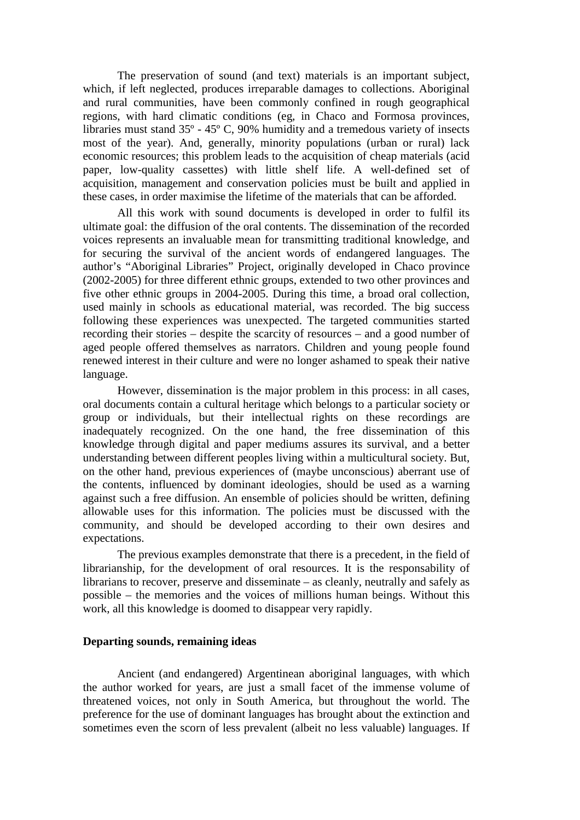The preservation of sound (and text) materials is an important subject, which, if left neglected, produces irreparable damages to collections. Aboriginal and rural communities, have been commonly confined in rough geographical regions, with hard climatic conditions (eg, in Chaco and Formosa provinces, libraries must stand 35º - 45º C, 90% humidity and a tremedous variety of insects most of the year). And, generally, minority populations (urban or rural) lack economic resources; this problem leads to the acquisition of cheap materials (acid paper, low-quality cassettes) with little shelf life. A well-defined set of acquisition, management and conservation policies must be built and applied in these cases, in order maximise the lifetime of the materials that can be afforded.

All this work with sound documents is developed in order to fulfil its ultimate goal: the diffusion of the oral contents. The dissemination of the recorded voices represents an invaluable mean for transmitting traditional knowledge, and for securing the survival of the ancient words of endangered languages. The author's "Aboriginal Libraries" Project, originally developed in Chaco province (2002-2005) for three different ethnic groups, extended to two other provinces and five other ethnic groups in 2004-2005. During this time, a broad oral collection, used mainly in schools as educational material, was recorded. The big success following these experiences was unexpected. The targeted communities started recording their stories – despite the scarcity of resources – and a good number of aged people offered themselves as narrators. Children and young people found renewed interest in their culture and were no longer ashamed to speak their native language.

However, dissemination is the major problem in this process: in all cases, oral documents contain a cultural heritage which belongs to a particular society or group or individuals, but their intellectual rights on these recordings are inadequately recognized. On the one hand, the free dissemination of this knowledge through digital and paper mediums assures its survival, and a better understanding between different peoples living within a multicultural society. But, on the other hand, previous experiences of (maybe unconscious) aberrant use of the contents, influenced by dominant ideologies, should be used as a warning against such a free diffusion. An ensemble of policies should be written, defining allowable uses for this information. The policies must be discussed with the community, and should be developed according to their own desires and expectations.

The previous examples demonstrate that there is a precedent, in the field of librarianship, for the development of oral resources. It is the responsability of librarians to recover, preserve and disseminate – as cleanly, neutrally and safely as possible – the memories and the voices of millions human beings. Without this work, all this knowledge is doomed to disappear very rapidly.

# **Departing sounds, remaining ideas**

Ancient (and endangered) Argentinean aboriginal languages, with which the author worked for years, are just a small facet of the immense volume of threatened voices, not only in South America, but throughout the world. The preference for the use of dominant languages has brought about the extinction and sometimes even the scorn of less prevalent (albeit no less valuable) languages. If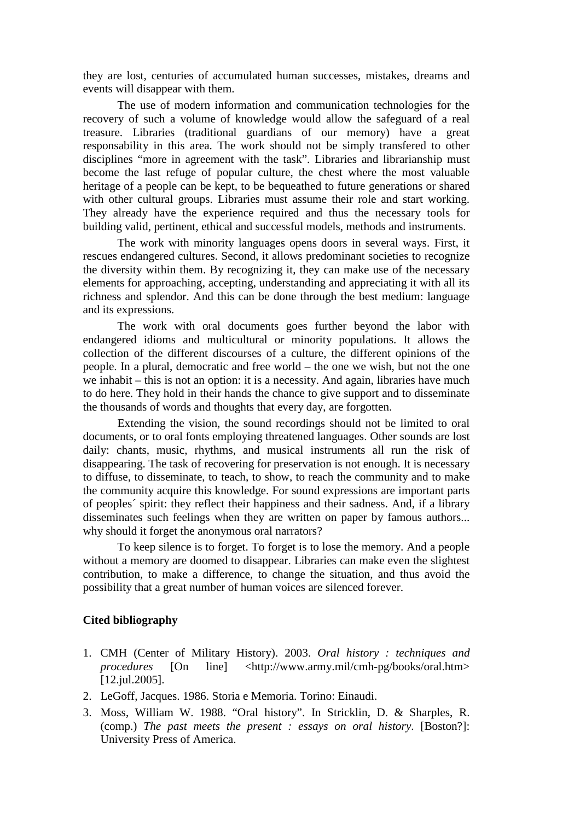they are lost, centuries of accumulated human successes, mistakes, dreams and events will disappear with them.

The use of modern information and communication technologies for the recovery of such a volume of knowledge would allow the safeguard of a real treasure. Libraries (traditional guardians of our memory) have a great responsability in this area. The work should not be simply transfered to other disciplines "more in agreement with the task". Libraries and librarianship must become the last refuge of popular culture, the chest where the most valuable heritage of a people can be kept, to be bequeathed to future generations or shared with other cultural groups. Libraries must assume their role and start working. They already have the experience required and thus the necessary tools for building valid, pertinent, ethical and successful models, methods and instruments.

The work with minority languages opens doors in several ways. First, it rescues endangered cultures. Second, it allows predominant societies to recognize the diversity within them. By recognizing it, they can make use of the necessary elements for approaching, accepting, understanding and appreciating it with all its richness and splendor. And this can be done through the best medium: language and its expressions.

The work with oral documents goes further beyond the labor with endangered idioms and multicultural or minority populations. It allows the collection of the different discourses of a culture, the different opinions of the people. In a plural, democratic and free world – the one we wish, but not the one we inhabit – this is not an option: it is a necessity. And again, libraries have much to do here. They hold in their hands the chance to give support and to disseminate the thousands of words and thoughts that every day, are forgotten.

Extending the vision, the sound recordings should not be limited to oral documents, or to oral fonts employing threatened languages. Other sounds are lost daily: chants, music, rhythms, and musical instruments all run the risk of disappearing. The task of recovering for preservation is not enough. It is necessary to diffuse, to disseminate, to teach, to show, to reach the community and to make the community acquire this knowledge. For sound expressions are important parts of peoples´ spirit: they reflect their happiness and their sadness. And, if a library disseminates such feelings when they are written on paper by famous authors... why should it forget the anonymous oral narrators?

To keep silence is to forget. To forget is to lose the memory. And a people without a memory are doomed to disappear. Libraries can make even the slightest contribution, to make a difference, to change the situation, and thus avoid the possibility that a great number of human voices are silenced forever.

# **Cited bibliography**

- 1. CMH (Center of Military History). 2003. *Oral history : techniques and procedures* [On line] <http://www.army.mil/cmh-pg/books/oral.htm> [12.jul.2005].
- 2. LeGoff, Jacques. 1986. Storia e Memoria. Torino: Einaudi.
- 3. Moss, William W. 1988. "Oral history". In Stricklin, D. & Sharples, R. (comp.) *The past meets the present : essays on oral history*. [Boston?]: University Press of America.